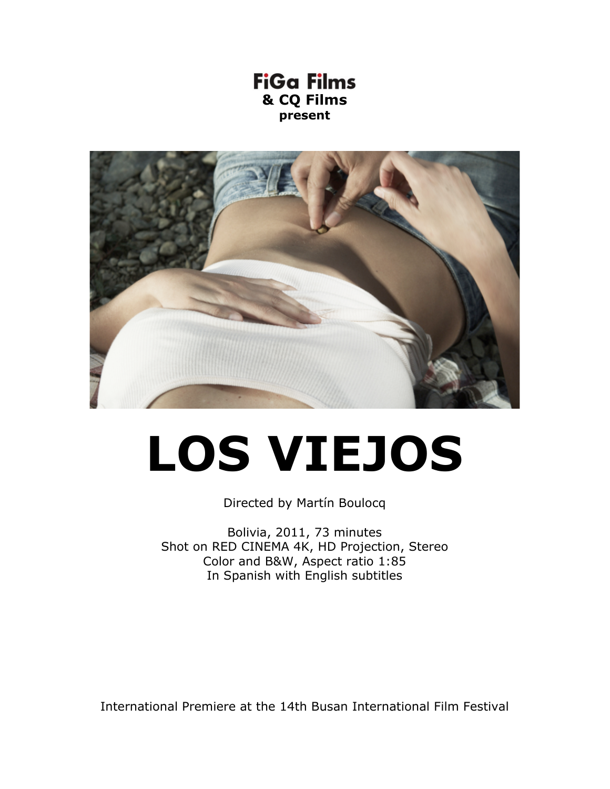



# **LOS VIEJOS**

Directed by Martín Boulocq

Bolivia, 2011, 73 minutes Shot on RED CINEMA 4K, HD Projection, Stereo Color and B&W, Aspect ratio 1:85 In Spanish with English subtitles

International Premiere at the 14th Busan International Film Festival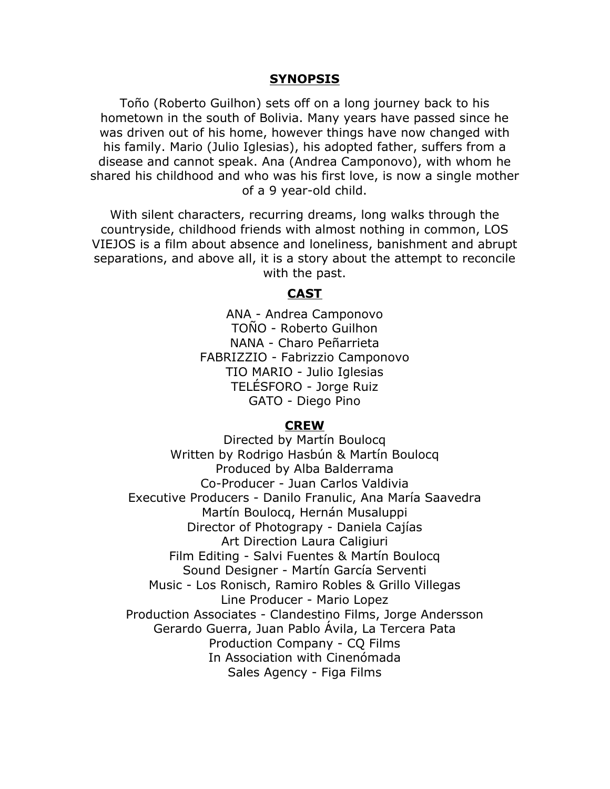## **SYNOPSIS**

Toño (Roberto Guilhon) sets off on a long journey back to his hometown in the south of Bolivia. Many years have passed since he was driven out of his home, however things have now changed with his family. Mario (Julio Iglesias), his adopted father, suffers from a disease and cannot speak. Ana (Andrea Camponovo), with whom he shared his childhood and who was his first love, is now a single mother of a 9 year-old child.

With silent characters, recurring dreams, long walks through the countryside, childhood friends with almost nothing in common, LOS VIEJOS is a film about absence and loneliness, banishment and abrupt separations, and above all, it is a story about the attempt to reconcile with the past.

## **CAST**

ANA - Andrea Camponovo TOÑO - Roberto Guilhon NANA - Charo Peñarrieta FABRIZZIO - Fabrizzio Camponovo TIO MARIO - Julio Iglesias TELÉSFORO - Jorge Ruiz GATO - Diego Pino

#### **CREW**

Directed by Martín Boulocq Written by Rodrigo Hasbún & Martín Boulocq Produced by Alba Balderrama Co-Producer - Juan Carlos Valdivia Executive Producers - Danilo Franulic, Ana María Saavedra Martín Boulocq, Hernán Musaluppi Director of Photograpy - Daniela Cajías Art Direction Laura Caligiuri Film Editing - Salvi Fuentes & Martín Boulocq Sound Designer - Martín García Serventi Music - Los Ronisch, Ramiro Robles & Grillo Villegas Line Producer - Mario Lopez Production Associates - Clandestino Films, Jorge Andersson Gerardo Guerra, Juan Pablo Ávila, La Tercera Pata Production Company - CQ Films In Association with Cinenómada Sales Agency - Figa Films